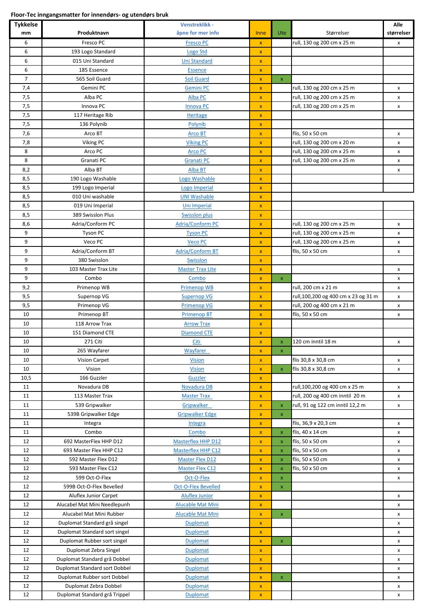```
Floor-Tec inngangsmatter for innendørs- og utendørs bruk
```

| <b>Tykkelse</b> |                                | <b>Venstreklikk -</b>             |                         |                    |                                                                    | Alle       |
|-----------------|--------------------------------|-----------------------------------|-------------------------|--------------------|--------------------------------------------------------------------|------------|
| mm              | Produktnavn                    | åpne for mer info                 | Inne                    | Ute                | Størrelser                                                         | størrelser |
| 6               | Fresco PC                      | <b>Fresco PC</b>                  | $\pmb{\mathsf{x}}$      |                    | rull, 130 og 200 cm x 25 m                                         | X          |
| 6               | 193 Logo Standard              | <b>Logo Std</b>                   | X                       |                    |                                                                    |            |
| 6               | 015 Uni Standard               | <b>Uni Standard</b>               | x                       |                    |                                                                    |            |
| 6               | 185 Essence                    | <b>Essence</b>                    | x                       |                    |                                                                    |            |
| $\overline{7}$  | 565 Soil Guard                 | <b>Soil Guard</b>                 | X                       | $\mathsf X$        |                                                                    |            |
| 7,4             | Gemini PC                      | <b>Gemini PC</b>                  | $\pmb{\mathsf{x}}$      |                    | rull, 130 og 200 cm x 25 m                                         | X          |
| 7,5             | Alba PC                        | Alba PC                           | X                       |                    | rull, 130 og 200 cm x 25 m                                         | X          |
| 7,5             | Innova PC                      | <b>Innova PC</b>                  | $\mathsf{x}$            |                    | rull, 130 og 200 cm x 25 m                                         | x          |
| 7,5             | 117 Heritage Rib               | <b>Heritage</b>                   | $\mathbf x$             |                    |                                                                    |            |
| 7,5             | 136 Polynib                    | Polynib                           | $\pmb{\mathsf{x}}$      |                    |                                                                    |            |
| 7,6             | Arco BT                        | Arco BT                           | $\mathbf x$             |                    | flis, 50 x 50 cm                                                   | X          |
| 7,8             | Viking PC                      | <b>Viking PC</b>                  | $\pmb{\mathsf{x}}$      |                    | rull, 130 og 200 cm x 20 m                                         | X          |
| 8               | Arco PC                        | <b>Arco PC</b>                    | $\pmb{\mathsf{x}}$      |                    | rull, 130 og 200 cm x 25 m                                         | X          |
| 8               | Granati PC                     | <b>Granati PC</b>                 | X                       |                    | rull, 130 og 200 cm x 25 m                                         | X          |
| 8,2             | Alba BT                        | <b>Alba BT</b>                    | X                       |                    |                                                                    | x          |
| 8,5             | 190 Logo Washable              | Logo Washable                     | $\pmb{\mathsf{x}}$      |                    |                                                                    |            |
| 8,5             | 199 Logo Imperial              | Logo Imperial                     | X                       |                    |                                                                    |            |
| 8,5             | 010 Uni washable               | <b>UNI Washable</b>               | $\pmb{\mathsf{x}}$      |                    |                                                                    |            |
| 8,5             | 019 Uni Imperial               | Uni Imperial                      | $\mathbf x$             |                    |                                                                    |            |
| 8,5             | 389 Swisslon Plus              | <b>Swisslon plus</b>              | $\mathsf{x}$            |                    |                                                                    |            |
| 8,6             | Adria/Conform PC               | <b>Adria/Conform PC</b>           | $\pmb{\mathsf{x}}$      |                    | rull, 130 og 200 cm x 25 m                                         | X          |
| 9               | Tyson PC                       | <b>Tyson PC</b>                   | $\pmb{\mathsf{x}}$      |                    | rull, 130 og 200 cm x 25 m                                         | X          |
| 9               | Veco PC                        | <b>Veco PC</b>                    | $\mathbf x$             |                    | rull, 130 og 200 cm x 25 m                                         | X          |
| 9               | Adria/Conform BT               | <b>Adria/Conform BT</b>           | $\pmb{\mathsf{x}}$      |                    | flis, 50 x 50 cm                                                   | X          |
| 9               | 380 Swisslon                   | Swisslon                          | $\pmb{\mathsf{x}}$      |                    |                                                                    |            |
| 9               | 103 Master Trax Lite           | <b>Master Trax Lite</b>           | $\pmb{\mathsf{x}}$      |                    |                                                                    | x          |
| 9               | Combo                          | Combo                             | X                       | $\mathsf X$        |                                                                    | x          |
| 9,2             | Primenop WB                    | <b>Primenop WB</b>                | x                       |                    | rull, 200 cm x 21 m                                                | x          |
| 9,5             | Supernop VG                    | <b>Supernop VG</b>                | X                       |                    | rull, 100, 200 og 400 cm x 23 og 31 m                              | X          |
| 9,5             | Primenop VG                    | <b>Primenop VG</b>                | X                       |                    | rull, 200 og 400 cm x 21 m                                         | X          |
| 10              | Primenop BT                    | <b>Primenop BT</b>                | $\mathbf x$             |                    | flis, 50 x 50 cm                                                   | X          |
| 10              | 118 Arrow Trax                 | <b>Arrow Trax</b>                 | $\mathsf{x}$            |                    |                                                                    |            |
| 10              | 151 Diamond CTE                | <b>Diamond CTE</b>                | $\pmb{\mathsf{x}}$      |                    |                                                                    |            |
| 10              | 271 Citi                       | Citi                              | $\pmb{\mathsf{x}}$      | $X =$              | 120 cm inntil 18 m                                                 | X          |
| 10              | 265 Wayfarer                   | Wayfarer                          | $\pmb{\mathsf{x}}$      | $\pmb{\mathsf{x}}$ |                                                                    |            |
| 10              | <b>Vision Carpet</b>           | <b>Vision</b>                     | $\pmb{\mathsf{x}}$      |                    | flis 30,8 x 30,8 cm                                                | x          |
| 10              | Vision                         | <b>Vision</b>                     | $\mathsf{x}$            | $\pmb{\mathsf{x}}$ | flis 30,8 x 30,8 cm                                                | X          |
| 10,5            | 166 Guzzler                    | <b>Guzzler</b>                    | $\pmb{\mathsf{x}}$      |                    |                                                                    |            |
| 11<br>11        | Novadura DB<br>113 Master Trax | Novadura DB<br><b>Master Trax</b> | $\pmb{\mathsf{x}}$      |                    | rull, 100, 200 og 400 cm x 25 m<br>rull, 200 og 400 cm inntil 20 m | X          |
| 11              | 539 Gripwalker                 | Gripwalker                        | $\pmb{\mathsf{x}}$<br>x | $\pmb{\mathsf{x}}$ | rull, 91 og 122 cm inntil 12,2 m                                   | X<br>x     |
| 11              | 539B Gripwalker Edge           | <b>Gripwalker Edge</b>            | $\pmb{\mathsf{x}}$      | X                  |                                                                    |            |
| 11              | Integra                        | Integra                           | $\pmb{\mathsf{x}}$      |                    | flis, 36,9 x 20,3 cm                                               | x          |
| 11              | Combo                          | <b>Combo</b>                      | X                       | $\pmb{\mathsf{x}}$ | flis, 40 x 14 cm                                                   | X          |
| 12              | 692 MasterFlex HHP D12         | <b>Masterflex HHP D12</b>         | $\pmb{\mathsf{x}}$      | x                  | flis, 50 x 50 cm                                                   | X          |
| 12              | 693 Master Flex HHP C12        | Masterflex HHP C12                | $\mathsf{x}$            | $\mathsf{x}$       | flis, 50 x 50 cm                                                   | X          |
| 12              | 592 Master Flex D12            | <b>Master Flex D12</b>            | $\pmb{\mathsf{x}}$      | $\pmb{\times}$     | flis, 50 x 50 cm                                                   | X          |
| 12              | 593 Master Flex C12            | <b>Master Flex C12</b>            | $\pmb{\mathsf{x}}$      | $\pmb{\mathsf{x}}$ | flis, 50 x 50 cm                                                   | X          |
| 12              | 599 Oct-O-Flex                 | Oct-O-Flex                        | X                       | $\pmb{\mathsf{x}}$ |                                                                    | X          |
| 12              | 599B Oct-O-Flex Bevelled       | <b>Oct-O-Flex Bevelled</b>        | $\pmb{\mathsf{x}}$      | $\mathsf X$        |                                                                    |            |
| 12              | Aluflex Junior Carpet          | <b>Aluflex Junior</b>             | X                       |                    |                                                                    | X          |
| 12              | Alucabel Mat Mini Needlepunh   | <b>Alucable Mat Mini</b>          | X                       |                    |                                                                    | X          |
| 12              | Alucabel Mat Mini Rubber       | <b>Alucable Mat Mini</b>          | $\pmb{\mathsf{x}}$      | $\mathsf X$        |                                                                    | X          |
| 12              | Duplomat Standard grå singel   | <b>Duplomat</b>                   | X                       |                    |                                                                    | X          |
| 12              | Duplomat Standard sort singel  | <b>Duplomat</b>                   | X                       |                    |                                                                    | X          |
| 12              | Duplomat Rubber sort singel    | <b>Duplomat</b>                   | $\pmb{\mathsf{x}}$      | X                  |                                                                    | X          |
| 12              | Duplomat Zebra Singel          | <b>Duplomat</b>                   | $\mathbf x$             |                    |                                                                    | X          |
| 12              | Duplomat Standard grå Dobbel   | <b>Duplomat</b>                   | $\pmb{\mathsf{x}}$      |                    |                                                                    | X          |
| 12              | Duplomat Standard sort Dobbel  | <b>Duplomat</b>                   | $\pmb{\mathsf{x}}$      |                    |                                                                    | X          |
| 12              | Duplomat Rubber sort Dobbel    | Duplomat                          | $\mathsf{x}$            | $\mathbf x$        |                                                                    | X          |
| 12              | Duplomat Zebra Dobbel          | <b>Duplomat</b>                   | $\mathbf x$             |                    |                                                                    | x          |
| 12              | Duplomat Standard grå Trippel  | Duplomat                          | $\pmb{\mathsf{x}}$      |                    |                                                                    | X          |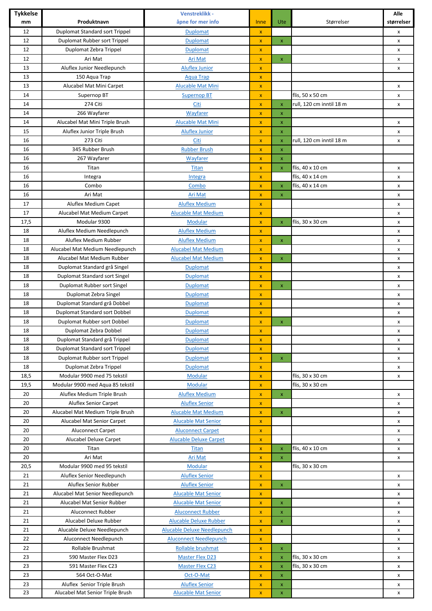| <b>Tykkelse</b><br>mm | Produktnavn                      | Venstreklikk -<br>åpne for mer info | Inne               | <b>Ute</b>         | Størrelser               | Alle<br>størrelser |
|-----------------------|----------------------------------|-------------------------------------|--------------------|--------------------|--------------------------|--------------------|
| 12                    | Duplomat Standard sort Trippel   | <b>Duplomat</b>                     | $\mathbf x$        |                    |                          | x                  |
| 12                    | Duplomat Rubber sort Trippel     | <b>Duplomat</b>                     | $\pmb{\mathsf{x}}$ | $\mathsf X$        |                          | X                  |
| 12                    | Duplomat Zebra Trippel           | <b>Duplomat</b>                     | $\pmb{\mathsf{x}}$ |                    |                          | x                  |
| 12                    | Ari Mat                          | Ari Mat                             | $\pmb{\mathsf{x}}$ | $\mathsf{x}$       |                          | x                  |
| 13                    | Aluflex Junior Needlepunch       | <b>Aluflex Junior</b>               | $\pmb{\mathsf{x}}$ |                    |                          | x                  |
| 13                    | 150 Aqua Trap                    | <b>Aqua Trap</b>                    | $\pmb{\mathsf{x}}$ |                    |                          |                    |
| 13                    | Alucabel Mat Mini Carpet         | <b>Alucable Mat Mini</b>            |                    |                    |                          |                    |
| 14                    |                                  |                                     | x                  |                    | flis, 50 x 50 cm         | x                  |
| 14                    | Supernop BT<br>274 Citi          | <b>Supernop BT</b><br>Citi          | $\pmb{\mathsf{x}}$ |                    | rull, 120 cm inntil 18 m | x                  |
| 14                    |                                  |                                     | x                  | $\mathsf X$        |                          | x                  |
|                       | 266 Wayfarer                     | Wayfarer                            | $\pmb{\mathsf{x}}$ | X                  |                          |                    |
| 14                    | Alucabel Mat Mini Triple Brush   | <b>Alucable Mat Mini</b>            | $\pmb{\mathsf{x}}$ | $\pmb{\mathsf{x}}$ |                          | x                  |
| 15                    | Aluflex Junior Triple Brush      | <b>Aluflex Junior</b>               | $\pmb{\mathsf{X}}$ | x                  |                          | x                  |
| 16                    | 273 Citi<br>345 Rubber Brush     | Citi                                | $\pmb{\mathsf{x}}$ | $\pmb{\mathsf{x}}$ | rull, 120 cm inntil 18 m | x                  |
| 16                    |                                  | <b>Rubber Brush</b>                 | $\pmb{\mathsf{x}}$ | $\mathsf{x}$       |                          |                    |
| 16                    | 267 Wayfarer                     | Wayfarer                            | $\pmb{\mathsf{x}}$ | $\mathsf{x}$       |                          |                    |
| 16                    | Titan                            | <b>Titan</b>                        | $\pmb{\mathsf{x}}$ | $\mathsf X$        | flis, 40 x 10 cm         | x                  |
| 16                    | Integra                          | Integra                             | $\pmb{\mathsf{x}}$ |                    | flis, 40 x 14 cm         | x                  |
| 16                    | Combo                            | Combo                               | $\pmb{\mathsf{x}}$ | $\mathsf{x}$       | flis, 40 x 14 cm         | x                  |
| 16                    | Ari Mat                          | Ari Mat                             | x                  | $\mathsf X$        |                          | x                  |
| 17                    | Aluflex Medium Capet             | <b>Aluflex Medium</b>               | $\pmb{\mathsf{x}}$ |                    |                          | x                  |
| 17                    | Alucabel Mat Medium Carpet       | <b>Alucable Mat Medium</b>          | x                  |                    |                          | x                  |
| 17,5                  | Modular 9300                     | <b>Modular</b>                      | $\pmb{\mathsf{x}}$ | $\pmb{\mathsf{x}}$ | flis, 30 x 30 cm         | X                  |
| 18                    | Aluflex Medium Needlepunch       | <b>Aluflex Medium</b>               | $\mathbf x$        |                    |                          | x                  |
| 18                    | Aluflex Medium Rubber            | <b>Aluflex Medium</b>               | $\mathbf x$        | $\mathbf x$        |                          | x                  |
| 18                    | Alucabel Mat Medium Needlepunch  | <b>Alucabel Mat Medium</b>          | $\mathbf x$        |                    |                          | x                  |
| 18                    | Alucabel Mat Medium Rubber       | <b>Alucabel Mat Medium</b>          | $\mathbf{x}$       | $\mathsf X$        |                          | x                  |
| 18                    | Duplomat Standard grå Singel     | <b>Duplomat</b>                     | $\pmb{\mathsf{x}}$ |                    |                          | x                  |
| 18                    | Duplomat Standard sort Singel    | <b>Duplomat</b>                     | $\pmb{\mathsf{x}}$ |                    |                          | x                  |
| 18                    | Duplomat Rubber sort Singel      | <b>Duplomat</b>                     | $\pmb{\mathsf{x}}$ | $\mathsf{x}$       |                          | x                  |
| 18                    | Duplomat Zebra Singel            | <b>Duplomat</b>                     | $\pmb{\mathsf{x}}$ |                    |                          | x                  |
| 18                    | Duplomat Standard grå Dobbel     | <b>Duplomat</b>                     | x                  |                    |                          | x                  |
| 18                    | Duplomat Standard sort Dobbel    | <b>Duplomat</b>                     | $\pmb{\mathsf{x}}$ |                    |                          | x                  |
| 18                    | Duplomat Rubber sort Dobbel      | Duplomat                            | x                  | $\pmb{\mathsf{x}}$ |                          | x                  |
| 18                    | Duplomat Zebra Dobbel            | <b>Duplomat</b>                     | $\pmb{\mathsf{x}}$ |                    |                          | x                  |
| 18                    | Duplomat Standard grå Trippel    | Duplomat                            | $\pmb{\mathsf{X}}$ |                    |                          | x                  |
| 18                    | Duplomat Standard sort Trippel   | <b>Duplomat</b>                     | $\pmb{\mathsf{X}}$ |                    |                          | X                  |
| 18                    | Duplomat Rubber sort Trippel     | <b>Duplomat</b>                     | $\mathbf x$        | $\mathbf x$        |                          | X                  |
| 18                    | Duplomat Zebra Trippel           | <b>Duplomat</b>                     | $\pmb{\mathsf{X}}$ |                    |                          | X                  |
| 18,5                  | Modular 9900 med 75 tekstil      | <b>Modular</b>                      | $\mathbf x$        |                    | flis, 30 x 30 cm         | x                  |
| 19,5                  | Modular 9900 med Aqua 85 tekstil | Modular                             | $\pmb{\mathsf{X}}$ |                    | flis, 30 x 30 cm         |                    |
| 20                    | Aluflex Medium Triple Brush      | <b>Aluflex Medium</b>               | $\pmb{\mathsf{x}}$ | $\mathsf X$        |                          | X                  |
| 20                    | <b>Aluflex Senior Carpet</b>     | <b>Aluflex Senior</b>               | $\pmb{\mathsf{x}}$ |                    |                          | X                  |
| 20                    | Alucabel Mat Medium Triple Brush | <b>Alucable Mat Medium</b>          | $\pmb{\mathsf{x}}$ | $\mathsf{x}$       |                          | X                  |
| 20                    | Alucabel Mat Senior Carpet       | <b>Alucable Mat Senior</b>          | x                  |                    |                          | x                  |
| 20                    | <b>Aluconnect Carpet</b>         | <b>Aluconnect Carpet</b>            | $\pmb{\mathsf{x}}$ |                    |                          | x                  |
| 20                    | Alucabel Deluxe Carpet           | <b>Alucable Deluxe Carpet</b>       | $\pmb{\mathsf{x}}$ |                    |                          | x                  |
| 20                    | Titan                            | Titan                               | $\pmb{\mathsf{x}}$ | $\mathsf X$        | flis, 40 x 10 cm         | x                  |
| 20                    | Ari Mat                          | Ari Mat                             | $\mathbf x$        | $\mathsf X$        |                          | X                  |
| 20,5                  | Modular 9900 med 95 tekstil      | <b>Modular</b>                      | $\pmb{\mathsf{X}}$ |                    | flis, 30 x 30 cm         |                    |
| 21                    | Aluflex Senior Needlepunch       | <b>Aluflex Senior</b>               | $\mathbf x$        |                    |                          | x                  |
| 21                    | Aluflex Senior Rubber            | <b>Aluflex Senior</b>               | $\pmb{\mathsf{x}}$ | $\mathsf X$        |                          | x                  |
| 21                    | Alucabel Mat Senior Needlepunch  | <b>Alucable Mat Senior</b>          | $\pmb{\mathsf{x}}$ |                    |                          | x                  |
| 21                    | Alucabel Mat Senior Rubber       | <b>Alucable Mat Senior</b>          | $\pmb{\mathsf{x}}$ | $\mathsf{x}$       |                          | x                  |
| 21                    | Aluconnect Rubber                | <b>Aluconnect Rubber</b>            | $\pmb{\mathsf{x}}$ | $\mathsf X$        |                          | x                  |
| 21                    | Alucabel Deluxe Rubber           | <b>Alucable Deluxe Rubber</b>       | $\pmb{\mathsf{x}}$ | $\mathsf{x}$       |                          | X                  |
| 21                    | Alucable Deluxe Needlepunch      | <b>Alucable Deluxe Needlepunch</b>  | $\pmb{\mathsf{x}}$ |                    |                          | x                  |
| 22                    | Aluconnect Needlepunch           | <b>Aluconnect Needlepunch</b>       | $\mathbf{x}$       |                    |                          | X                  |
| 22                    | Rollable Brushmat                | Rollable brushmat                   | x                  | $\mathsf{x}$       |                          | x                  |
| 23                    | 590 Master Flex D23              | <b>Master Flex D23</b>              | $\pmb{\mathsf{x}}$ | $\mathsf X$        | flis, 30 x 30 cm         | X                  |
| 23                    | 591 Master Flex C23              | <b>Master Flex C23</b>              | $\mathbf x$        | $\mathsf X$        | flis, 30 x 30 cm         | x                  |
| 23                    | 564 Oct-O-Mat                    | Oct-O-Mat                           | $\pmb{\mathsf{X}}$ | $\mathsf{x}$       |                          | X                  |
| 23                    | Aluflex Senior Triple Brush      | <b>Aluflex Senior</b>               | $\mathbf x$        | x                  |                          | X                  |
| 23                    | Alucabel Mat Senior Triple Brush | <b>Alucable Mat Senior</b>          | $\pmb{\mathsf{x}}$ | $\mathbf x$        |                          | X                  |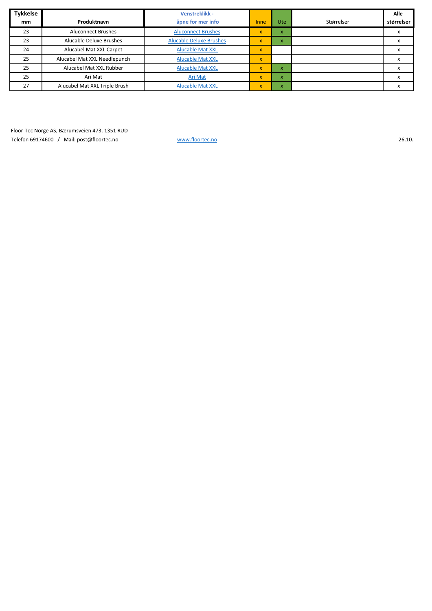| <b>Tykkelse</b> |                               | Venstreklikk -                 |             |              |            | Alle       |
|-----------------|-------------------------------|--------------------------------|-------------|--------------|------------|------------|
| mm              | Produktnavn                   | åpne for mer info              | Inne        | Ute          | Størrelser | størrelser |
| 23              | <b>Aluconnect Brushes</b>     | <b>Aluconnect Brushes</b>      | X           | X            |            |            |
| 23              | Alucable Deluxe Brushes       | <b>Alucable Deluxe Brushes</b> | $\mathbf x$ | $\mathsf{x}$ |            |            |
| 24              | Alucabel Mat XXL Carpet       | <b>Alucable Mat XXL</b>        | $\mathbf x$ |              |            |            |
| 25              | Alucabel Mat XXL Needlepunch  | <b>Alucable Mat XXL</b>        | $\mathbf x$ |              |            |            |
| 25              | Alucabel Mat XXL Rubber       | <b>Alucable Mat XXL</b>        | $\mathbf x$ | $\mathsf{x}$ |            |            |
| 25              | Ari Mat                       | Ari Mat                        | $\mathbf x$ | $\mathsf{x}$ |            |            |
| 27              | Alucabel Mat XXL Triple Brush | <b>Alucable Mat XXL</b>        | $\mathbf x$ | $\mathsf{x}$ |            |            |

Floor-Tec Norge AS, Bærumsveien 473, 1351 RUD Telefon 69174600 / Mail: post@floortec.no [www.floortec.no](http://www.floortec.no/) www.floortec.no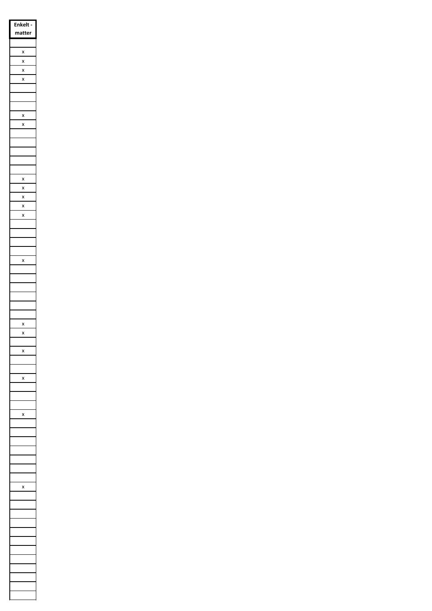| <b>Enkelt</b>           |
|-------------------------|
| matter                  |
|                         |
| $\frac{1}{2}$<br>x      |
| X                       |
| x                       |
|                         |
|                         |
| $\overline{\mathbf{x}}$ |
| X                       |
|                         |
|                         |
|                         |
|                         |
|                         |
| $\frac{x}{2}$<br>x      |
| $\frac{1}{2}$           |
| $\frac{1}{2}$           |
| x                       |
|                         |
|                         |
|                         |
| X                       |
|                         |
|                         |
|                         |
|                         |
|                         |
| X                       |
|                         |
|                         |
| ι                       |
|                         |
|                         |
| X                       |
|                         |
|                         |
| x                       |
|                         |
|                         |
|                         |
|                         |
|                         |
|                         |
| X                       |
|                         |
|                         |
|                         |
|                         |
|                         |
|                         |
|                         |
|                         |
|                         |
|                         |
|                         |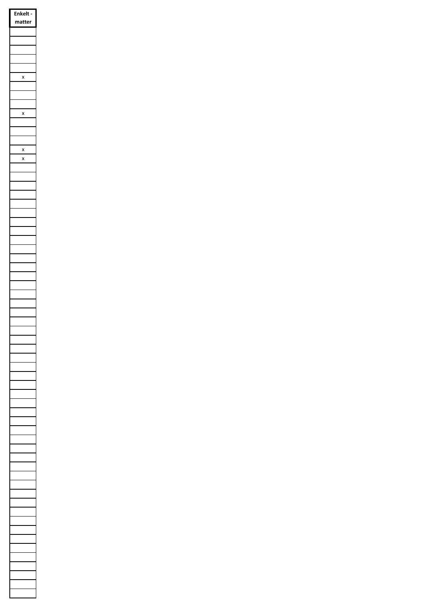